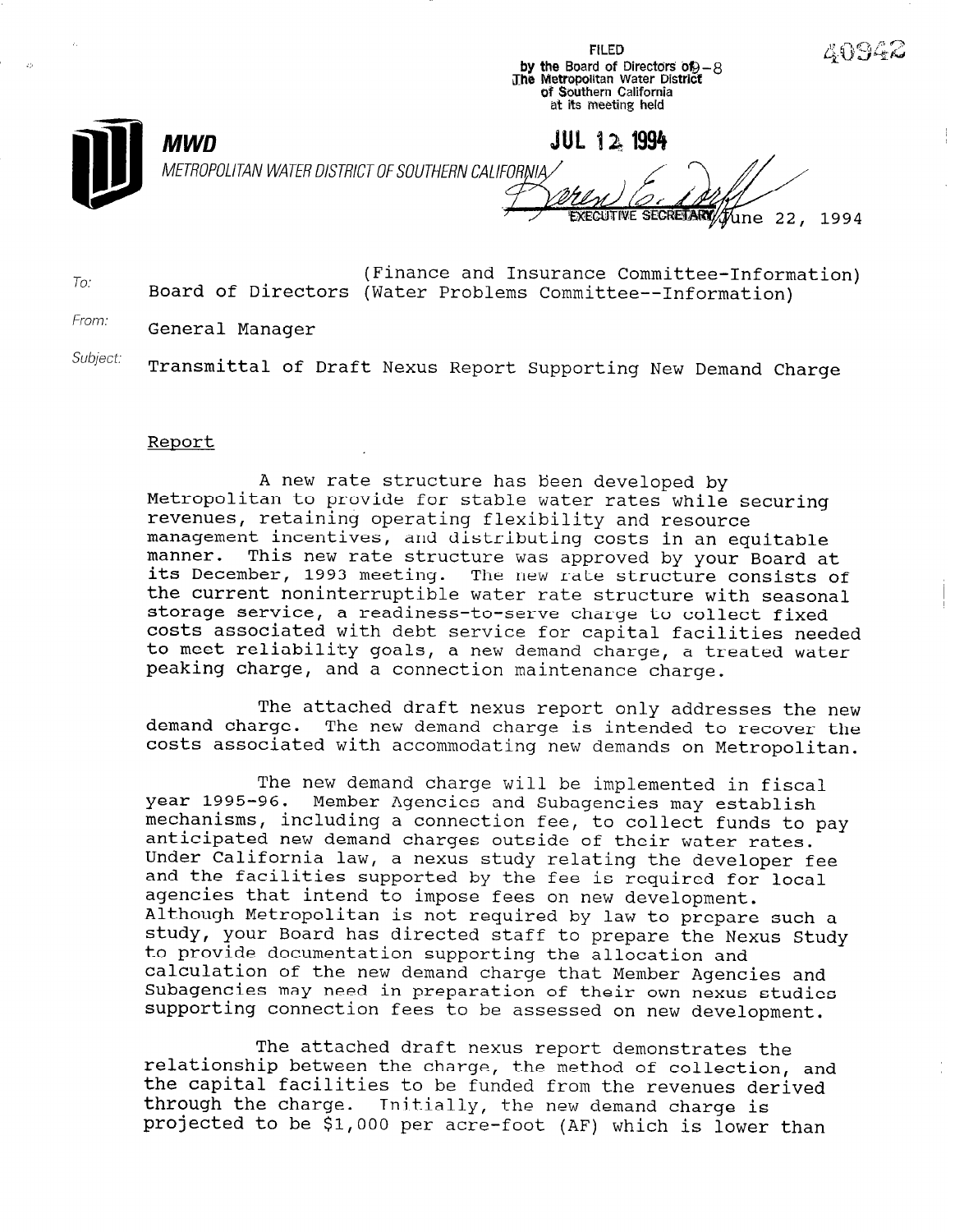FILED the Board of Directors Of -8<br>Metropolitan Water District of Southern California at its meeting held

METROPOLITAN WATER DISTRICT OF SOUTHERN CALIFORNIA

JUL 12 1994 EXECUTIVE SECRETARY Tune 22, 1994

4094

To: (Finance and Insurance Committee-Information) Board of Directors (Water Problems Committee--Information)

From: General Manager

**MWD** 

Subject: Transmittal of Draft Nexus Report Supporting New Demand Charge

## Report

A new rate structure has been developed by Metropolitan to provide for stable water rates while securing revenues, retaining operating flexibility and resource management incentives, and distributing costs in an equitable manner. This new rate structure was approved by your Board at its December, 1993 meeting. The new rate structure consists of the current noninterruptible water rate structure with seasonal storage service, a readiness-to-serve charge to collect fixed costs associated with debt service for capital facilities needed to meet reliability goals, a new demand charge, a treated water peaking charge, and a connection maintenance charge.

The attached draft nexus report only addresses the new demand charge. The new demand charge is intended to recover the costs associated with accommodating new demands on Metropolitan.

The new demand charge will be implemented in fiscal year 1995-96. Member Agencies and Subagencies may establish mechanisms, including a connection fee, to collect funds to pay anticipated new demand charges outside of their water rates. Under California law, a nexus study relating the developer fee and the facilities supported by the fee is required for local agencies that intend to impose fees on new development. Although Metropolitan is not required by law to prepare such a study, your Board has directed staff to prepare the Nexus Study to provide documentation supporting the allocation and calculation of the new demand charge that Member Agencies and Subagencies may need in preparation of their own nexus studies supporting connection fees to be assessed on new development.

The attached draft nexus report demonstrates the relationship between the charge, the method of collection, and the capital facilities to be funded from the revenues derived through the charge. Initially, the new demand charge is projected to be \$1,000 per acre-foot (AF) which is lower than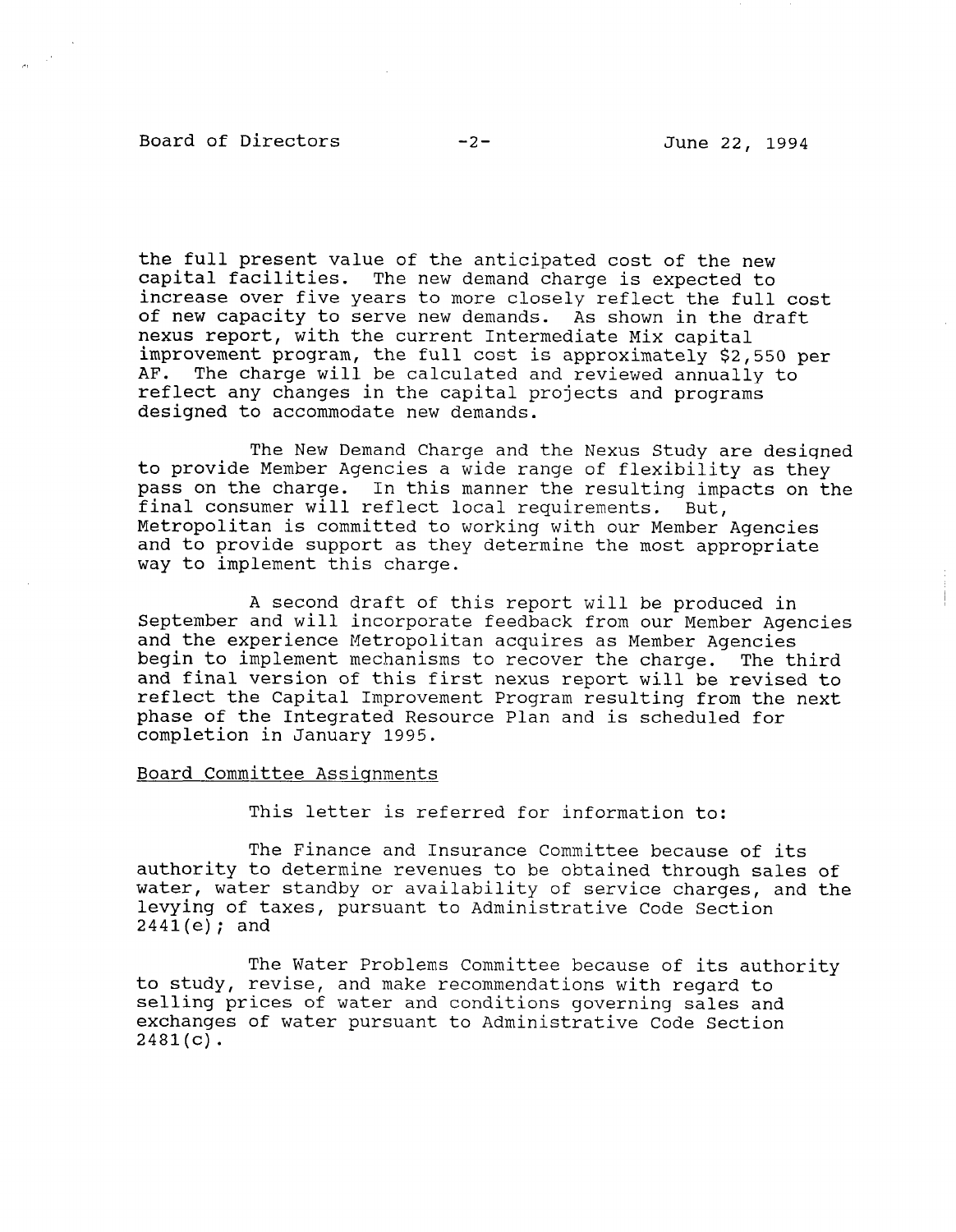## Board of Directors -2- June 22, 1994

the full present value of the anticipated cost of the new capital facilities. The new demand charge is expected to increase over five years to more closely reflect the full cost of new capacity to serve new demands. As shown in the draft nexus report, with the current Intermediate Mix capital improvement program, the full cost is approximately \$2,550 per AF. The charge will be calculated and reviewed annually to reflect any changes in the capital projects and programs designed to accommodate new demands.

The New Demand Charge and the Nexus Study are designed to provide Member Agencies a wide range of flexibility as they provide member agencies a wide range of flexibility as they pass on the charge. In this manner the resulting imfinal consumer will reflect local requirements. But, Metropolitan is committed to working with our Member Agencies and to provide support as they determine the most appropriate way to implement this charge.

 $\overline{A}$  second draft of this report will be produced in this report will be produced in the produced in the produced in the produced in the produced in the produced in the produced in the product of the produced in the p A Second draft of this report will be produced in September and will incorporate feedback from our Member Agencies and the experience Metropolitan acquires as Member Agencies begin to implement mechanisms to recover the charge. The third and final version of this first nexus report will be revised to reflect the Capital Improvement Program resulting from the next phase of the Integrated Resource Plan and is scheduled for<br>completion in January 1995.

## Board Committee Assignments

This letter is referred for information to:

The Finance and Insurance Committee because of its authority to determine revenues to be obtained through sales of water, water standby or availability of service charges, and the levying of taxes, pursuant to Administrative Code Section  $2441(e)$ ; and

The Water Problems Committee because of its authority to study, revise, and make recommendations with regard to selling prices of water and conditions governing sales and exchanges of water pursuant to Administrative Code Section  $2481(c)$ .